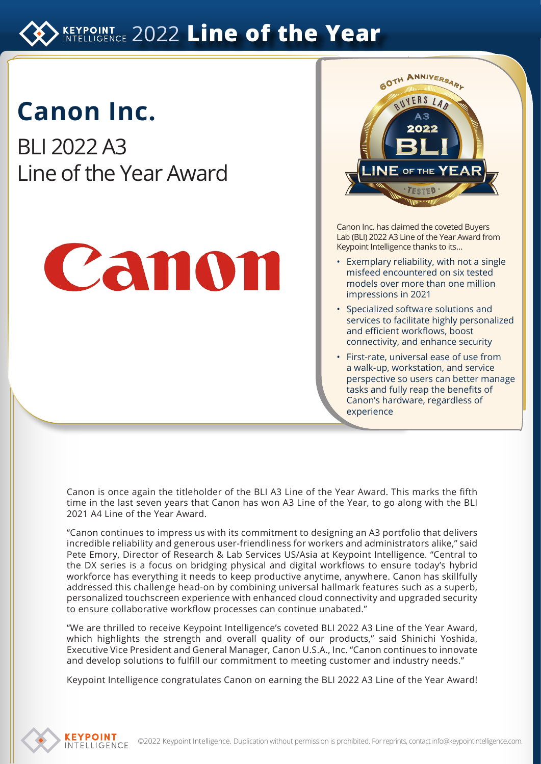## **KEYPOINT 2022 Line of the Year**

# **Canon Inc.**

BLI 2022 A3 Line of the Year Award





Canon Inc. has claimed the coveted Buyers Lab (BLI) 2022 A3 Line of the Year Award from Keypoint Intelligence thanks to its…

- Exemplary reliability, with not a single misfeed encountered on six tested models over more than one million impressions in 2021
- Specialized software solutions and services to facilitate highly personalized and efficient workflows, boost connectivity, and enhance security
- First-rate, universal ease of use from a walk-up, workstation, and service perspective so users can better manage tasks and fully reap the benefits of Canon's hardware, regardless of experience

Canon is once again the titleholder of the BLI A3 Line of the Year Award. This marks the fifth time in the last seven years that Canon has won A3 Line of the Year, to go along with the BLI 2021 A4 Line of the Year Award.

"Canon continues to impress us with its commitment to designing an A3 portfolio that delivers incredible reliability and generous user-friendliness for workers and administrators alike," said Pete Emory, Director of Research & Lab Services US/Asia at Keypoint Intelligence. "Central to the DX series is a focus on bridging physical and digital workflows to ensure today's hybrid workforce has everything it needs to keep productive anytime, anywhere. Canon has skillfully addressed this challenge head-on by combining universal hallmark features such as a superb, personalized touchscreen experience with enhanced cloud connectivity and upgraded security to ensure collaborative workflow processes can continue unabated."

"We are thrilled to receive Keypoint Intelligence's coveted BLI 2022 A3 Line of the Year Award, which highlights the strength and overall quality of our products," said Shinichi Yoshida, Executive Vice President and General Manager, Canon U.S.A., Inc. "Canon continues to innovate and develop solutions to fulfill our commitment to meeting customer and industry needs."

Keypoint Intelligence congratulates Canon on earning the BLI 2022 A3 Line of the Year Award!

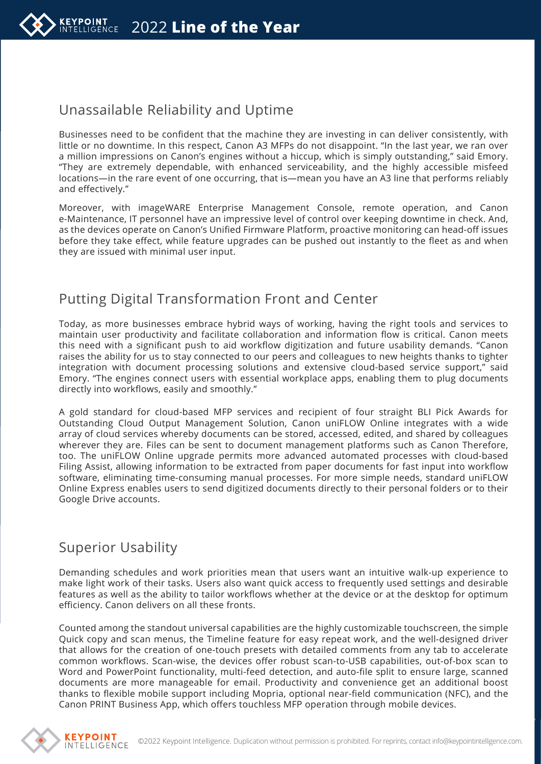

#### Unassailable Reliability and Uptime

Businesses need to be confident that the machine they are investing in can deliver consistently, with little or no downtime. In this respect, Canon A3 MFPs do not disappoint. "In the last year, we ran over a million impressions on Canon's engines without a hiccup, which is simply outstanding," said Emory. "They are extremely dependable, with enhanced serviceability, and the highly accessible misfeed locations—in the rare event of one occurring, that is—mean you have an A3 line that performs reliably and effectively."

Moreover, with imageWARE Enterprise Management Console, remote operation, and Canon e-Maintenance, IT personnel have an impressive level of control over keeping downtime in check. And, as the devices operate on Canon's Unified Firmware Platform, proactive monitoring can head-off issues before they take effect, while feature upgrades can be pushed out instantly to the fleet as and when they are issued with minimal user input.

#### Putting Digital Transformation Front and Center

Today, as more businesses embrace hybrid ways of working, having the right tools and services to maintain user productivity and facilitate collaboration and information flow is critical. Canon meets this need with a significant push to aid workflow digitization and future usability demands. "Canon raises the ability for us to stay connected to our peers and colleagues to new heights thanks to tighter integration with document processing solutions and extensive cloud-based service support," said Emory. "The engines connect users with essential workplace apps, enabling them to plug documents directly into workflows, easily and smoothly."

A gold standard for cloud-based MFP services and recipient of four straight BLI Pick Awards for Outstanding Cloud Output Management Solution, Canon uniFLOW Online integrates with a wide array of cloud services whereby documents can be stored, accessed, edited, and shared by colleagues wherever they are. Files can be sent to document management platforms such as Canon Therefore, too. The uniFLOW Online upgrade permits more advanced automated processes with cloud-based Filing Assist, allowing information to be extracted from paper documents for fast input into workflow software, eliminating time-consuming manual processes. For more simple needs, standard uniFLOW Online Express enables users to send digitized documents directly to their personal folders or to their Google Drive accounts.

#### Superior Usability

Demanding schedules and work priorities mean that users want an intuitive walk-up experience to make light work of their tasks. Users also want quick access to frequently used settings and desirable features as well as the ability to tailor workflows whether at the device or at the desktop for optimum efficiency. Canon delivers on all these fronts.

Counted among the standout universal capabilities are the highly customizable touchscreen, the simple Quick copy and scan menus, the Timeline feature for easy repeat work, and the well-designed driver that allows for the creation of one-touch presets with detailed comments from any tab to accelerate common workflows. Scan-wise, the devices offer robust scan-to-USB capabilities, out-of-box scan to Word and PowerPoint functionality, multi-feed detection, and auto-file split to ensure large, scanned documents are more manageable for email. Productivity and convenience get an additional boost thanks to flexible mobile support including Mopria, optional near-field communication (NFC), and the Canon PRINT Business App, which offers touchless MFP operation through mobile devices.

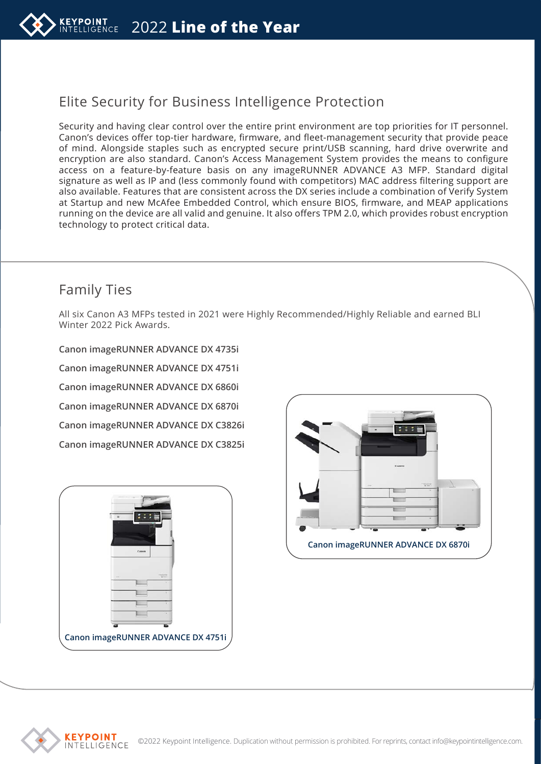

## Elite Security for Business Intelligence Protection

Security and having clear control over the entire print environment are top priorities for IT personnel. Canon's devices offer top-tier hardware, firmware, and fleet-management security that provide peace of mind. Alongside staples such as encrypted secure print/USB scanning, hard drive overwrite and encryption are also standard. Canon's Access Management System provides the means to configure access on a feature-by-feature basis on any imageRUNNER ADVANCE A3 MFP. Standard digital signature as well as IP and (less commonly found with competitors) MAC address filtering support are also available. Features that are consistent across the DX series include a combination of Verify System at Startup and new McAfee Embedded Control, which ensure BIOS, firmware, and MEAP applications running on the device are all valid and genuine. It also offers TPM 2.0, which provides robust encryption technology to protect critical data.

## Family Ties

All six Canon A3 MFPs tested in 2021 were Highly Recommended/Highly Reliable and earned BLI Winter 2022 Pick Awards.

**Canon imageRUNNER ADVANCE DX 4735i Canon imageRUNNER ADVANCE DX 4751i Canon imageRUNNER ADVANCE DX 6860i Canon imageRUNNER ADVANCE DX 6870i Canon imageRUNNER ADVANCE DX C3826i Canon imageRUNNER ADVANCE DX C3825i**